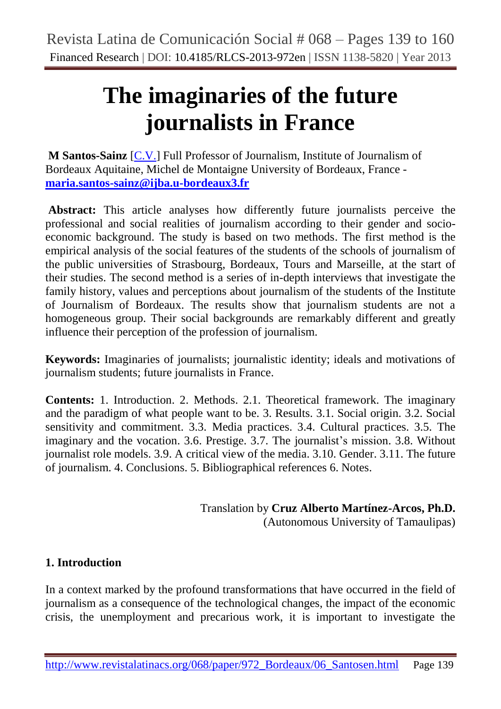# **The imaginaries of the future journalists in France**

**M Santos-Sainz** [\[C.V.\]](cven.html) Full Professor of Journalism, Institute of Journalism of Bordeaux Aquitaine, Michel de Montaigne University of Bordeaux, France **[maria.santos-sainz@ijba.u-bordeaux3.fr](mailto:maria.santos-sainz@ijba.u-bordeaux3.fr)**

**Abstract:** This article analyses how differently future journalists perceive the professional and social realities of journalism according to their gender and socioeconomic background. The study is based on two methods. The first method is the empirical analysis of the social features of the students of the schools of journalism of the public universities of Strasbourg, Bordeaux, Tours and Marseille, at the start of their studies. The second method is a series of in-depth interviews that investigate the family history, values and perceptions about journalism of the students of the Institute of Journalism of Bordeaux. The results show that journalism students are not a homogeneous group. Their social backgrounds are remarkably different and greatly influence their perception of the profession of journalism.

**Keywords:** Imaginaries of journalists; journalistic identity; ideals and motivations of journalism students; future journalists in France.

**Contents:** 1. Introduction. 2. Methods. 2.1. Theoretical framework. The imaginary and the paradigm of what people want to be. 3. Results. 3.1. Social origin. 3.2. Social sensitivity and commitment. 3.3. Media practices. 3.4. Cultural practices. 3.5. The imaginary and the vocation. 3.6. Prestige. 3.7. The journalist's mission. 3.8. Without journalist role models. 3.9. A critical view of the media. 3.10. Gender. 3.11. The future of journalism. 4. Conclusions. 5. Bibliographical references 6. Notes.

# Translation by **Cruz Alberto Martínez-Arcos, Ph.D.**

(Autonomous University of Tamaulipas)

#### **1. Introduction**

In a context marked by the profound transformations that have occurred in the field of journalism as a consequence of the technological changes, the impact of the economic crisis, the unemployment and precarious work, it is important to investigate the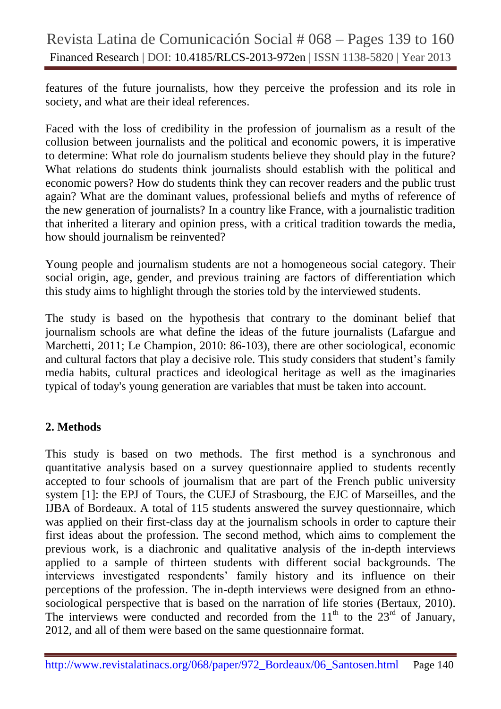features of the future journalists, how they perceive the profession and its role in society, and what are their ideal references.

Faced with the loss of credibility in the profession of journalism as a result of the collusion between journalists and the political and economic powers, it is imperative to determine: What role do journalism students believe they should play in the future? What relations do students think journalists should establish with the political and economic powers? How do students think they can recover readers and the public trust again? What are the dominant values, professional beliefs and myths of reference of the new generation of journalists? In a country like France, with a journalistic tradition that inherited a literary and opinion press, with a critical tradition towards the media, how should journalism be reinvented?

Young people and journalism students are not a homogeneous social category. Their social origin, age, gender, and previous training are factors of differentiation which this study aims to highlight through the stories told by the interviewed students.

The study is based on the hypothesis that contrary to the dominant belief that journalism schools are what define the ideas of the future journalists (Lafargue and Marchetti, 2011; Le Champion, 2010: 86-103), there are other sociological, economic and cultural factors that play a decisive role. This study considers that student's family media habits, cultural practices and ideological heritage as well as the imaginaries typical of today's young generation are variables that must be taken into account.

#### **2. Methods**

This study is based on two methods. The first method is a synchronous and quantitative analysis based on a survey questionnaire applied to students recently accepted to four schools of journalism that are part of the French public university system [1]: the EPJ of Tours, the CUEJ of Strasbourg, the EJC of Marseilles, and the IJBA of Bordeaux. A total of 115 students answered the survey questionnaire, which was applied on their first-class day at the journalism schools in order to capture their first ideas about the profession. The second method, which aims to complement the previous work, is a diachronic and qualitative analysis of the in-depth interviews applied to a sample of thirteen students with different social backgrounds. The interviews investigated respondents' family history and its influence on their perceptions of the profession. The in-depth interviews were designed from an ethnosociological perspective that is based on the narration of life stories (Bertaux, 2010). The interviews were conducted and recorded from the  $11<sup>th</sup>$  to the  $23<sup>rd</sup>$  of January, 2012, and all of them were based on the same questionnaire format.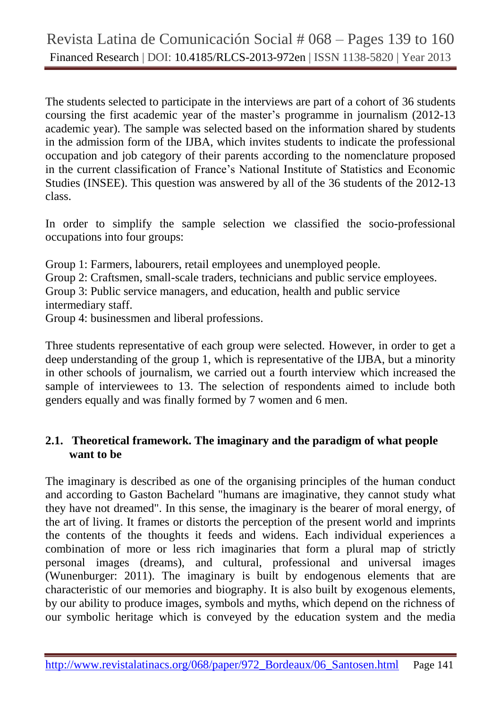The students selected to participate in the interviews are part of a cohort of 36 students coursing the first academic year of the master's programme in journalism (2012-13 academic year). The sample was selected based on the information shared by students in the admission form of the IJBA, which invites students to indicate the professional occupation and job category of their parents according to the nomenclature proposed in the current classification of France's National Institute of Statistics and Economic Studies (INSEE). This question was answered by all of the 36 students of the 2012-13 class.

In order to simplify the sample selection we classified the socio-professional occupations into four groups:

Group 1: Farmers, labourers, retail employees and unemployed people.

Group 2: Craftsmen, small-scale traders, technicians and public service employees.

Group 3: Public service managers, and education, health and public service intermediary staff.

Group 4: businessmen and liberal professions.

Three students representative of each group were selected. However, in order to get a deep understanding of the group 1, which is representative of the IJBA, but a minority in other schools of journalism, we carried out a fourth interview which increased the sample of interviewees to 13. The selection of respondents aimed to include both genders equally and was finally formed by 7 women and 6 men.

#### **2.1. Theoretical framework. The imaginary and the paradigm of what people want to be**

The imaginary is described as one of the organising principles of the human conduct and according to Gaston Bachelard "humans are imaginative, they cannot study what they have not dreamed". In this sense, the imaginary is the bearer of moral energy, of the art of living. It frames or distorts the perception of the present world and imprints the contents of the thoughts it feeds and widens. Each individual experiences a combination of more or less rich imaginaries that form a plural map of strictly personal images (dreams), and cultural, professional and universal images (Wunenburger: 2011). The imaginary is built by endogenous elements that are characteristic of our memories and biography. It is also built by exogenous elements, by our ability to produce images, symbols and myths, which depend on the richness of our symbolic heritage which is conveyed by the education system and the media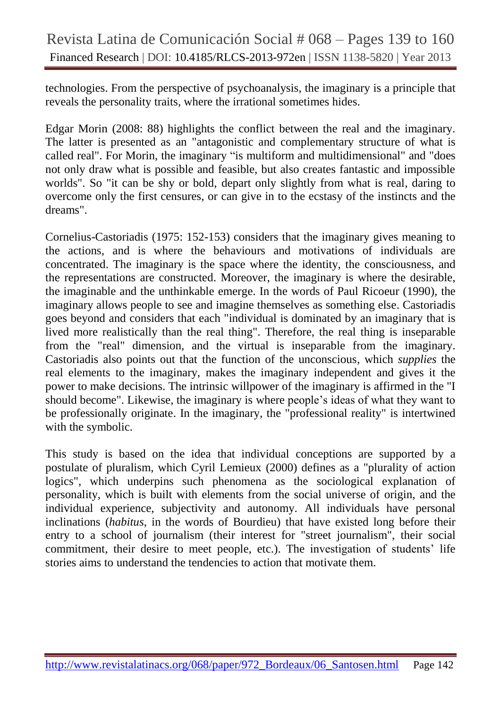technologies. From the perspective of psychoanalysis, the imaginary is a principle that reveals the personality traits, where the irrational sometimes hides.

Edgar Morin (2008: 88) highlights the conflict between the real and the imaginary. The latter is presented as an "antagonistic and complementary structure of what is called real". For Morin, the imaginary "is multiform and multidimensional" and "does not only draw what is possible and feasible, but also creates fantastic and impossible worlds". So "it can be shy or bold, depart only slightly from what is real, daring to overcome only the first censures, or can give in to the ecstasy of the instincts and the dreams".

Cornelius-Castoriadis (1975: 152-153) considers that the imaginary gives meaning to the actions, and is where the behaviours and motivations of individuals are concentrated. The imaginary is the space where the identity, the consciousness, and the representations are constructed. Moreover, the imaginary is where the desirable, the imaginable and the unthinkable emerge. In the words of Paul Ricoeur (1990), the imaginary allows people to see and imagine themselves as something else. Castoriadis goes beyond and considers that each "individual is dominated by an imaginary that is lived more realistically than the real thing". Therefore, the real thing is inseparable from the "real" dimension, and the virtual is inseparable from the imaginary. Castoriadis also points out that the function of the unconscious, which *supplies* the real elements to the imaginary, makes the imaginary independent and gives it the power to make decisions. The intrinsic willpower of the imaginary is affirmed in the "I should become". Likewise, the imaginary is where people's ideas of what they want to be professionally originate. In the imaginary, the "professional reality" is intertwined with the symbolic.

This study is based on the idea that individual conceptions are supported by a postulate of pluralism, which Cyril Lemieux (2000) defines as a "plurality of action logics", which underpins such phenomena as the sociological explanation of personality, which is built with elements from the social universe of origin, and the individual experience, subjectivity and autonomy. All individuals have personal inclinations (*habitus*, in the words of Bourdieu) that have existed long before their entry to a school of journalism (their interest for "street journalism", their social commitment, their desire to meet people, etc.). The investigation of students' life stories aims to understand the tendencies to action that motivate them.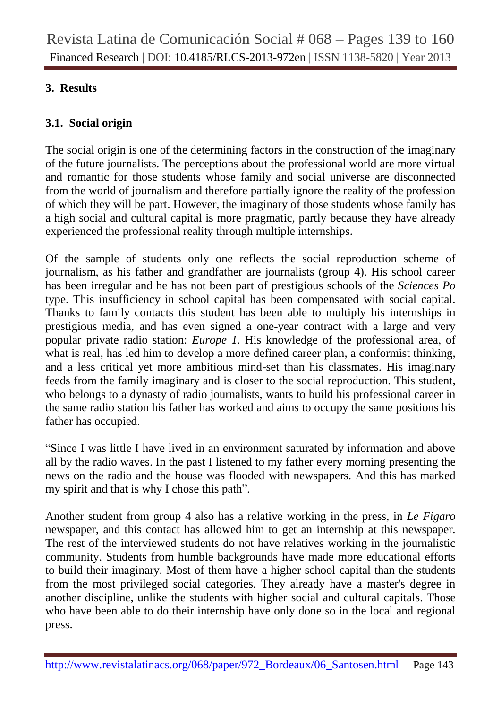# **3. Results**

# **3.1. Social origin**

The social origin is one of the determining factors in the construction of the imaginary of the future journalists. The perceptions about the professional world are more virtual and romantic for those students whose family and social universe are disconnected from the world of journalism and therefore partially ignore the reality of the profession of which they will be part. However, the imaginary of those students whose family has a high social and cultural capital is more pragmatic, partly because they have already experienced the professional reality through multiple internships.

Of the sample of students only one reflects the social reproduction scheme of journalism, as his father and grandfather are journalists (group 4). His school career has been irregular and he has not been part of prestigious schools of the *Sciences Po*  type. This insufficiency in school capital has been compensated with social capital. Thanks to family contacts this student has been able to multiply his internships in prestigious media, and has even signed a one-year contract with a large and very popular private radio station: *Europe 1.* His knowledge of the professional area, of what is real, has led him to develop a more defined career plan, a conformist thinking, and a less critical yet more ambitious mind-set than his classmates. His imaginary feeds from the family imaginary and is closer to the social reproduction. This student, who belongs to a dynasty of radio journalists, wants to build his professional career in the same radio station his father has worked and aims to occupy the same positions his father has occupied.

"Since I was little I have lived in an environment saturated by information and above all by the radio waves. In the past I listened to my father every morning presenting the news on the radio and the house was flooded with newspapers. And this has marked my spirit and that is why I chose this path"*.*

Another student from group 4 also has a relative working in the press, in *Le Figaro* newspaper, and this contact has allowed him to get an internship at this newspaper. The rest of the interviewed students do not have relatives working in the journalistic community. Students from humble backgrounds have made more educational efforts to build their imaginary. Most of them have a higher school capital than the students from the most privileged social categories. They already have a master's degree in another discipline, unlike the students with higher social and cultural capitals. Those who have been able to do their internship have only done so in the local and regional press.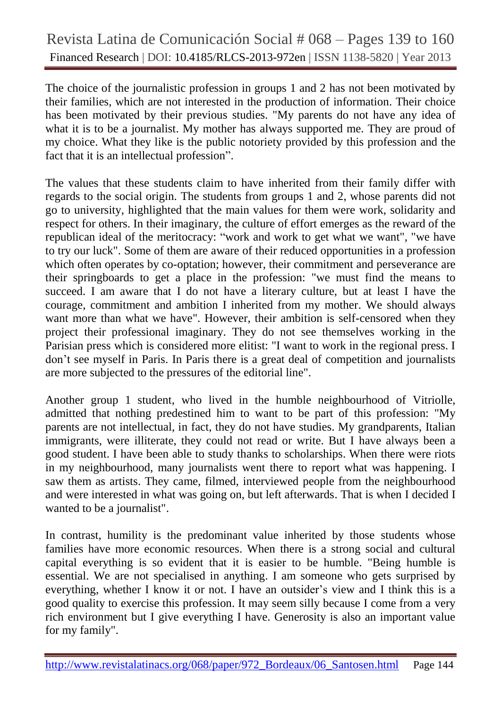The choice of the journalistic profession in groups 1 and 2 has not been motivated by their families, which are not interested in the production of information. Their choice has been motivated by their previous studies. "My parents do not have any idea of what it is to be a journalist. My mother has always supported me. They are proud of my choice. What they like is the public notoriety provided by this profession and the fact that it is an intellectual profession".

The values that these students claim to have inherited from their family differ with regards to the social origin. The students from groups 1 and 2, whose parents did not go to university, highlighted that the main values for them were work, solidarity and respect for others. In their imaginary, the culture of effort emerges as the reward of the republican ideal of the meritocracy: "work and work to get what we want", "we have to try our luck". Some of them are aware of their reduced opportunities in a profession which often operates by co-optation; however, their commitment and perseverance are their springboards to get a place in the profession: "we must find the means to succeed. I am aware that I do not have a literary culture, but at least I have the courage, commitment and ambition I inherited from my mother. We should always want more than what we have". However, their ambition is self-censored when they project their professional imaginary. They do not see themselves working in the Parisian press which is considered more elitist: "I want to work in the regional press. I don't see myself in Paris. In Paris there is a great deal of competition and journalists are more subjected to the pressures of the editorial line".

Another group 1 student, who lived in the humble neighbourhood of Vitriolle, admitted that nothing predestined him to want to be part of this profession: "My parents are not intellectual, in fact, they do not have studies. My grandparents, Italian immigrants, were illiterate, they could not read or write. But I have always been a good student. I have been able to study thanks to scholarships. When there were riots in my neighbourhood, many journalists went there to report what was happening. I saw them as artists. They came, filmed, interviewed people from the neighbourhood and were interested in what was going on, but left afterwards. That is when I decided I wanted to be a journalist".

In contrast, humility is the predominant value inherited by those students whose families have more economic resources. When there is a strong social and cultural capital everything is so evident that it is easier to be humble. "Being humble is essential. We are not specialised in anything. I am someone who gets surprised by everything, whether I know it or not. I have an outsider's view and I think this is a good quality to exercise this profession. It may seem silly because I come from a very rich environment but I give everything I have. Generosity is also an important value for my family".

http://www.revistalatinacs.org/068/paper/972\_Bordeaux/06\_Santosen.html Page 144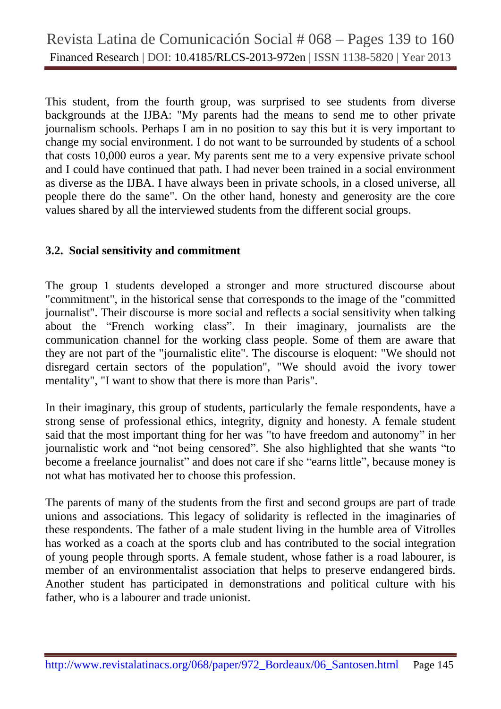This student, from the fourth group, was surprised to see students from diverse backgrounds at the IJBA: "My parents had the means to send me to other private journalism schools. Perhaps I am in no position to say this but it is very important to change my social environment. I do not want to be surrounded by students of a school that costs 10,000 euros a year. My parents sent me to a very expensive private school and I could have continued that path. I had never been trained in a social environment as diverse as the IJBA. I have always been in private schools, in a closed universe, all people there do the same". On the other hand, honesty and generosity are the core values shared by all the interviewed students from the different social groups.

#### **3.2. Social sensitivity and commitment**

The group 1 students developed a stronger and more structured discourse about "commitment", in the historical sense that corresponds to the image of the "committed journalist". Their discourse is more social and reflects a social sensitivity when talking about the "French working class". In their imaginary, journalists are the communication channel for the working class people. Some of them are aware that they are not part of the "journalistic elite". The discourse is eloquent: "We should not disregard certain sectors of the population", "We should avoid the ivory tower mentality", "I want to show that there is more than Paris".

In their imaginary, this group of students, particularly the female respondents, have a strong sense of professional ethics, integrity, dignity and honesty. A female student said that the most important thing for her was "to have freedom and autonomy" in her journalistic work and "not being censored". She also highlighted that she wants "to become a freelance journalist" and does not care if she "earns little", because money is not what has motivated her to choose this profession.

The parents of many of the students from the first and second groups are part of trade unions and associations. This legacy of solidarity is reflected in the imaginaries of these respondents. The father of a male student living in the humble area of Vitrolles has worked as a coach at the sports club and has contributed to the social integration of young people through sports. A female student, whose father is a road labourer, is member of an environmentalist association that helps to preserve endangered birds. Another student has participated in demonstrations and political culture with his father, who is a labourer and trade unionist.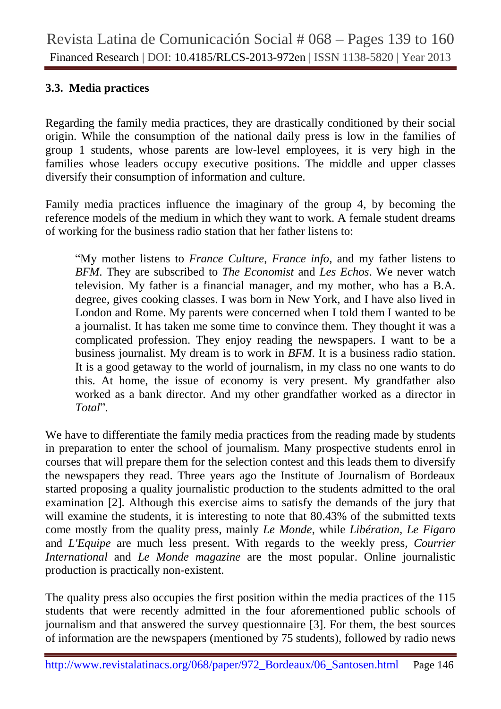# **3.3. Media practices**

Regarding the family media practices, they are drastically conditioned by their social origin. While the consumption of the national daily press is low in the families of group 1 students, whose parents are low-level employees, it is very high in the families whose leaders occupy executive positions. The middle and upper classes diversify their consumption of information and culture.

Family media practices influence the imaginary of the group 4, by becoming the reference models of the medium in which they want to work. A female student dreams of working for the business radio station that her father listens to:

"My mother listens to *France Culture*, *France info*, and my father listens to *BFM*. They are subscribed to *The Economist* and *Les Echos*. We never watch television. My father is a financial manager, and my mother, who has a B.A. degree, gives cooking classes. I was born in New York, and I have also lived in London and Rome. My parents were concerned when I told them I wanted to be a journalist. It has taken me some time to convince them. They thought it was a complicated profession. They enjoy reading the newspapers. I want to be a business journalist. My dream is to work in *BFM*. It is a business radio station. It is a good getaway to the world of journalism, in my class no one wants to do this. At home, the issue of economy is very present. My grandfather also worked as a bank director. And my other grandfather worked as a director in *Total*"*.*

We have to differentiate the family media practices from the reading made by students in preparation to enter the school of journalism. Many prospective students enrol in courses that will prepare them for the selection contest and this leads them to diversify the newspapers they read. Three years ago the Institute of Journalism of Bordeaux started proposing a quality journalistic production to the students admitted to the oral examination [2]. Although this exercise aims to satisfy the demands of the jury that will examine the students, it is interesting to note that 80.43% of the submitted texts come mostly from the quality press, mainly *Le Monde*, while *Libération*, *Le Figaro* and *L'Equipe* are much less present. With regards to the weekly press, *Courrier International* and *Le Monde magazine* are the most popular. Online journalistic production is practically non-existent.

The quality press also occupies the first position within the media practices of the 115 students that were recently admitted in the four aforementioned public schools of journalism and that answered the survey questionnaire [3]. For them, the best sources of information are the newspapers (mentioned by 75 students), followed by radio news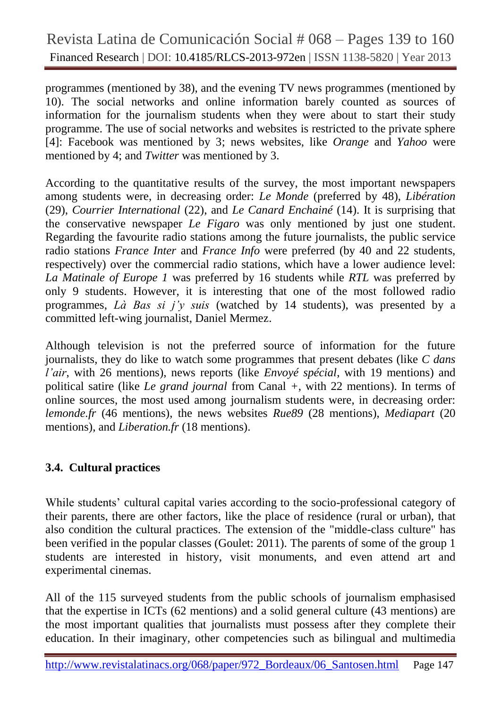programmes (mentioned by 38), and the evening TV news programmes (mentioned by 10). The social networks and online information barely counted as sources of information for the journalism students when they were about to start their study programme. The use of social networks and websites is restricted to the private sphere [4]: Facebook was mentioned by 3; news websites, like *Orange* and *Yahoo* were mentioned by 4; and *Twitter* was mentioned by 3.

According to the quantitative results of the survey, the most important newspapers among students were, in decreasing order: *Le Monde* (preferred by 48), *Libération*  (29), *Courrier International* (22), and *Le Canard Enchainé* (14). It is surprising that the conservative newspaper *Le Figaro* was only mentioned by just one student. Regarding the favourite radio stations among the future journalists, the public service radio stations *France Inter* and *France Info* were preferred (by 40 and 22 students, respectively) over the commercial radio stations, which have a lower audience level: *La Matinale of Europe 1* was preferred by 16 students while *RTL* was preferred by only 9 students. However, it is interesting that one of the most followed radio programmes, *Là Bas si j'y suis* (watched by 14 students), was presented by a committed left-wing journalist, Daniel Mermez.

Although television is not the preferred source of information for the future journalists, they do like to watch some programmes that present debates (like *C dans l'air*, with 26 mentions), news reports (like *Envoyé spécial*, with 19 mentions) and political satire (like *Le grand journal* from Canal *+*, with 22 mentions). In terms of online sources, the most used among journalism students were, in decreasing order: *lemonde.fr* (46 mentions), the news websites *Rue89* (28 mentions), *Mediapart* (20 mentions), and *Liberation.fr* (18 mentions).

# **3.4. Cultural practices**

While students' cultural capital varies according to the socio-professional category of their parents, there are other factors, like the place of residence (rural or urban), that also condition the cultural practices. The extension of the "middle-class culture" has been verified in the popular classes (Goulet: 2011). The parents of some of the group 1 students are interested in history, visit monuments, and even attend art and experimental cinemas.

All of the 115 surveyed students from the public schools of journalism emphasised that the expertise in ICTs (62 mentions) and a solid general culture (43 mentions) are the most important qualities that journalists must possess after they complete their education. In their imaginary, other competencies such as bilingual and multimedia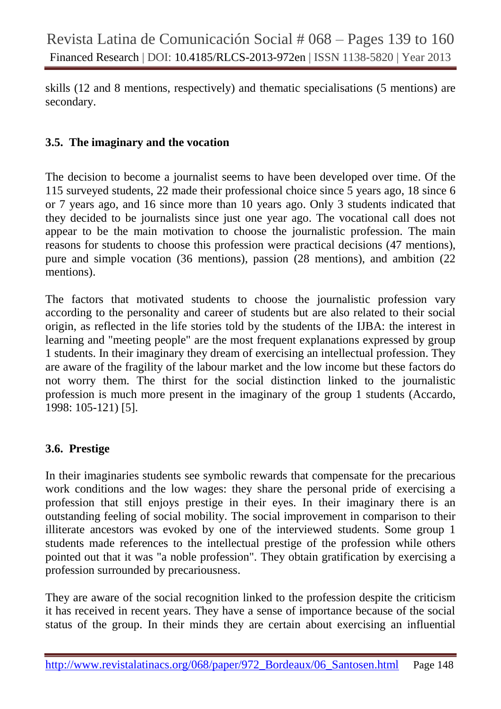skills (12 and 8 mentions, respectively) and thematic specialisations (5 mentions) are secondary.

#### **3.5. The imaginary and the vocation**

The decision to become a journalist seems to have been developed over time. Of the 115 surveyed students, 22 made their professional choice since 5 years ago, 18 since 6 or 7 years ago, and 16 since more than 10 years ago. Only 3 students indicated that they decided to be journalists since just one year ago. The vocational call does not appear to be the main motivation to choose the journalistic profession. The main reasons for students to choose this profession were practical decisions (47 mentions), pure and simple vocation (36 mentions), passion (28 mentions), and ambition (22 mentions).

The factors that motivated students to choose the journalistic profession vary according to the personality and career of students but are also related to their social origin, as reflected in the life stories told by the students of the IJBA: the interest in learning and "meeting people" are the most frequent explanations expressed by group 1 students. In their imaginary they dream of exercising an intellectual profession. They are aware of the fragility of the labour market and the low income but these factors do not worry them. The thirst for the social distinction linked to the journalistic profession is much more present in the imaginary of the group 1 students (Accardo, 1998: 105-121) [5].

# **3.6. Prestige**

In their imaginaries students see symbolic rewards that compensate for the precarious work conditions and the low wages: they share the personal pride of exercising a profession that still enjoys prestige in their eyes. In their imaginary there is an outstanding feeling of social mobility. The social improvement in comparison to their illiterate ancestors was evoked by one of the interviewed students. Some group 1 students made references to the intellectual prestige of the profession while others pointed out that it was "a noble profession". They obtain gratification by exercising a profession surrounded by precariousness.

They are aware of the social recognition linked to the profession despite the criticism it has received in recent years. They have a sense of importance because of the social status of the group. In their minds they are certain about exercising an influential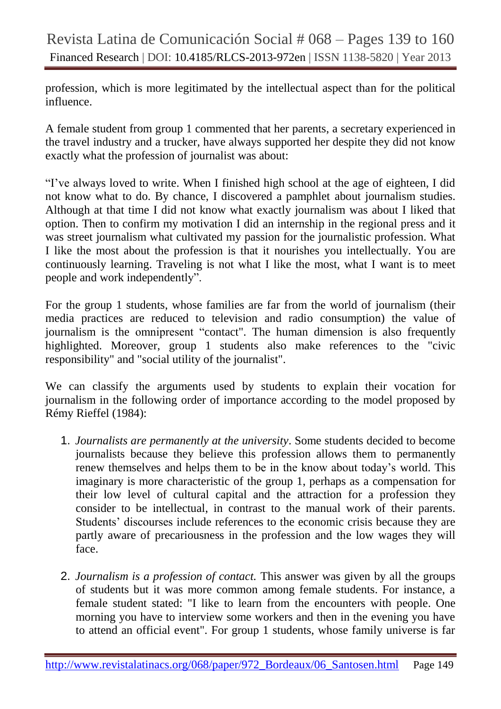profession, which is more legitimated by the intellectual aspect than for the political influence.

A female student from group 1 commented that her parents, a secretary experienced in the travel industry and a trucker, have always supported her despite they did not know exactly what the profession of journalist was about:

"I've always loved to write. When I finished high school at the age of eighteen, I did not know what to do. By chance, I discovered a pamphlet about journalism studies. Although at that time I did not know what exactly journalism was about I liked that option. Then to confirm my motivation I did an internship in the regional press and it was street journalism what cultivated my passion for the journalistic profession. What I like the most about the profession is that it nourishes you intellectually. You are continuously learning. Traveling is not what I like the most, what I want is to meet people and work independently".

For the group 1 students, whose families are far from the world of journalism (their media practices are reduced to television and radio consumption) the value of journalism is the omnipresent "contact". The human dimension is also frequently highlighted. Moreover, group 1 students also make references to the "civic responsibility" and "social utility of the journalist".

We can classify the arguments used by students to explain their vocation for journalism in the following order of importance according to the model proposed by Rémy Rieffel (1984):

- 1. *Journalists are permanently at the university*. Some students decided to become journalists because they believe this profession allows them to permanently renew themselves and helps them to be in the know about today's world. This imaginary is more characteristic of the group 1, perhaps as a compensation for their low level of cultural capital and the attraction for a profession they consider to be intellectual, in contrast to the manual work of their parents. Students' discourses include references to the economic crisis because they are partly aware of precariousness in the profession and the low wages they will face.
- 2. *Journalism is a profession of contact.* This answer was given by all the groups of students but it was more common among female students. For instance, a female student stated: "I like to learn from the encounters with people. One morning you have to interview some workers and then in the evening you have to attend an official event". For group 1 students, whose family universe is far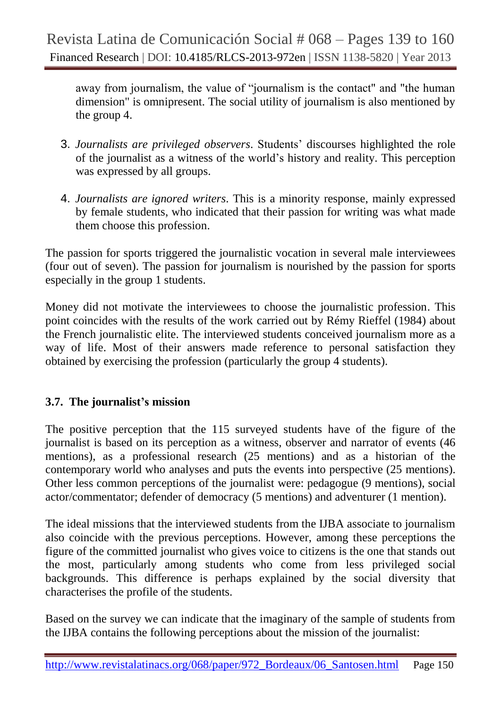away from journalism, the value of "journalism is the contact" and "the human dimension" is omnipresent. The social utility of journalism is also mentioned by the group 4.

- 3. *Journalists are privileged observers*. Students' discourses highlighted the role of the journalist as a witness of the world's history and reality. This perception was expressed by all groups.
- 4. *Journalists are ignored writers*. This is a minority response, mainly expressed by female students, who indicated that their passion for writing was what made them choose this profession.

The passion for sports triggered the journalistic vocation in several male interviewees (four out of seven). The passion for journalism is nourished by the passion for sports especially in the group 1 students.

Money did not motivate the interviewees to choose the journalistic profession. This point coincides with the results of the work carried out by Rémy Rieffel (1984) about the French journalistic elite. The interviewed students conceived journalism more as a way of life. Most of their answers made reference to personal satisfaction they obtained by exercising the profession (particularly the group 4 students).

# **3.7. The journalist's mission**

The positive perception that the 115 surveyed students have of the figure of the journalist is based on its perception as a witness, observer and narrator of events (46 mentions), as a professional research (25 mentions) and as a historian of the contemporary world who analyses and puts the events into perspective (25 mentions). Other less common perceptions of the journalist were: pedagogue (9 mentions), social actor/commentator; defender of democracy (5 mentions) and adventurer (1 mention).

The ideal missions that the interviewed students from the IJBA associate to journalism also coincide with the previous perceptions. However, among these perceptions the figure of the committed journalist who gives voice to citizens is the one that stands out the most, particularly among students who come from less privileged social backgrounds. This difference is perhaps explained by the social diversity that characterises the profile of the students.

Based on the survey we can indicate that the imaginary of the sample of students from the IJBA contains the following perceptions about the mission of the journalist: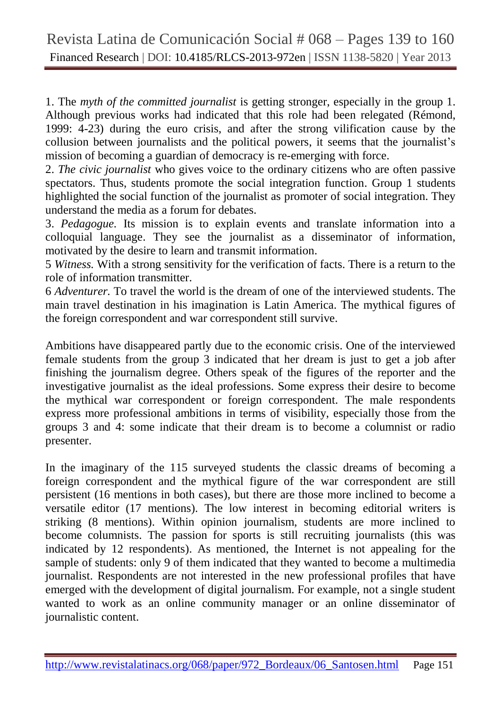1. The *myth of the committed journalist* is getting stronger, especially in the group 1. Although previous works had indicated that this role had been relegated (Rémond, 1999: 4-23) during the euro crisis, and after the strong vilification cause by the collusion between journalists and the political powers, it seems that the journalist's mission of becoming a guardian of democracy is re-emerging with force.

2. *The civic journalist* who gives voice to the ordinary citizens who are often passive spectators. Thus, students promote the social integration function. Group 1 students highlighted the social function of the journalist as promoter of social integration. They understand the media as a forum for debates.

3. *Pedagogue.* Its mission is to explain events and translate information into a colloquial language. They see the journalist as a disseminator of information, motivated by the desire to learn and transmit information.

5 *Witness.* With a strong sensitivity for the verification of facts. There is a return to the role of information transmitter.

6 *Adventurer.* To travel the world is the dream of one of the interviewed students. The main travel destination in his imagination is Latin America. The mythical figures of the foreign correspondent and war correspondent still survive.

Ambitions have disappeared partly due to the economic crisis. One of the interviewed female students from the group 3 indicated that her dream is just to get a job after finishing the journalism degree. Others speak of the figures of the reporter and the investigative journalist as the ideal professions. Some express their desire to become the mythical war correspondent or foreign correspondent. The male respondents express more professional ambitions in terms of visibility, especially those from the groups 3 and 4: some indicate that their dream is to become a columnist or radio presenter.

In the imaginary of the 115 surveyed students the classic dreams of becoming a foreign correspondent and the mythical figure of the war correspondent are still persistent (16 mentions in both cases), but there are those more inclined to become a versatile editor (17 mentions). The low interest in becoming editorial writers is striking (8 mentions). Within opinion journalism, students are more inclined to become columnists. The passion for sports is still recruiting journalists (this was indicated by 12 respondents). As mentioned, the Internet is not appealing for the sample of students: only 9 of them indicated that they wanted to become a multimedia journalist. Respondents are not interested in the new professional profiles that have emerged with the development of digital journalism. For example, not a single student wanted to work as an online community manager or an online disseminator of journalistic content.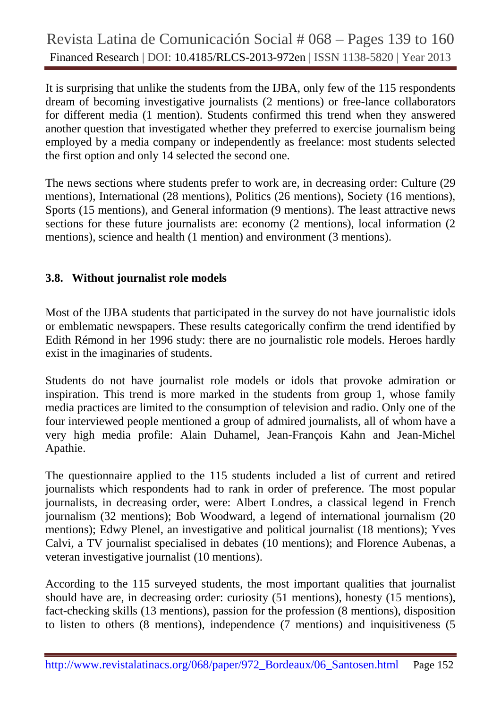It is surprising that unlike the students from the IJBA, only few of the 115 respondents dream of becoming investigative journalists (2 mentions) or free-lance collaborators for different media (1 mention). Students confirmed this trend when they answered another question that investigated whether they preferred to exercise journalism being employed by a media company or independently as freelance: most students selected the first option and only 14 selected the second one.

The news sections where students prefer to work are, in decreasing order: Culture (29 mentions), International (28 mentions), Politics (26 mentions), Society (16 mentions), Sports (15 mentions), and General information (9 mentions). The least attractive news sections for these future journalists are: economy (2 mentions), local information (2 mentions), science and health (1 mention) and environment (3 mentions).

#### **3.8. Without journalist role models**

Most of the IJBA students that participated in the survey do not have journalistic idols or emblematic newspapers. These results categorically confirm the trend identified by Edith Rémond in her 1996 study: there are no journalistic role models. Heroes hardly exist in the imaginaries of students.

Students do not have journalist role models or idols that provoke admiration or inspiration. This trend is more marked in the students from group 1, whose family media practices are limited to the consumption of television and radio. Only one of the four interviewed people mentioned a group of admired journalists, all of whom have a very high media profile: Alain Duhamel, Jean-François Kahn and Jean-Michel Apathie.

The questionnaire applied to the 115 students included a list of current and retired journalists which respondents had to rank in order of preference. The most popular journalists, in decreasing order, were: Albert Londres, a classical legend in French journalism (32 mentions); Bob Woodward, a legend of international journalism (20 mentions); Edwy Plenel, an investigative and political journalist (18 mentions); Yves Calvi, a TV journalist specialised in debates (10 mentions); and Florence Aubenas, a veteran investigative journalist (10 mentions).

According to the 115 surveyed students, the most important qualities that journalist should have are, in decreasing order: curiosity (51 mentions), honesty (15 mentions), fact-checking skills (13 mentions), passion for the profession (8 mentions), disposition to listen to others (8 mentions), independence (7 mentions) and inquisitiveness (5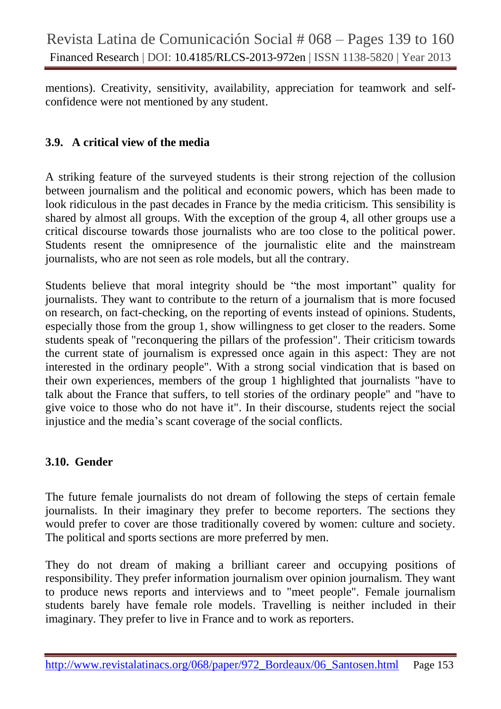mentions). Creativity, sensitivity, availability, appreciation for teamwork and selfconfidence were not mentioned by any student.

#### **3.9. A critical view of the media**

A striking feature of the surveyed students is their strong rejection of the collusion between journalism and the political and economic powers, which has been made to look ridiculous in the past decades in France by the media criticism. This sensibility is shared by almost all groups. With the exception of the group 4, all other groups use a critical discourse towards those journalists who are too close to the political power. Students resent the omnipresence of the journalistic elite and the mainstream journalists, who are not seen as role models, but all the contrary.

Students believe that moral integrity should be "the most important" quality for journalists. They want to contribute to the return of a journalism that is more focused on research, on fact-checking, on the reporting of events instead of opinions. Students, especially those from the group 1, show willingness to get closer to the readers. Some students speak of "reconquering the pillars of the profession". Their criticism towards the current state of journalism is expressed once again in this aspect: They are not interested in the ordinary people". With a strong social vindication that is based on their own experiences, members of the group 1 highlighted that journalists "have to talk about the France that suffers, to tell stories of the ordinary people" and "have to give voice to those who do not have it". In their discourse, students reject the social injustice and the media's scant coverage of the social conflicts.

#### **3.10. Gender**

The future female journalists do not dream of following the steps of certain female journalists. In their imaginary they prefer to become reporters. The sections they would prefer to cover are those traditionally covered by women: culture and society. The political and sports sections are more preferred by men.

They do not dream of making a brilliant career and occupying positions of responsibility. They prefer information journalism over opinion journalism. They want to produce news reports and interviews and to "meet people". Female journalism students barely have female role models. Travelling is neither included in their imaginary. They prefer to live in France and to work as reporters.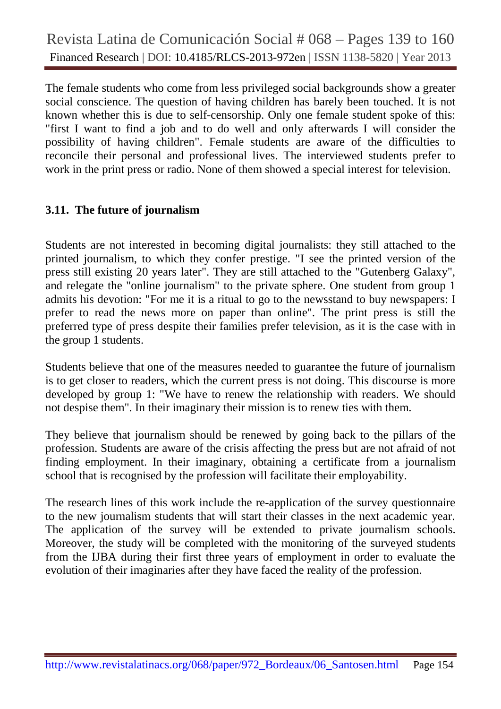The female students who come from less privileged social backgrounds show a greater social conscience. The question of having children has barely been touched. It is not known whether this is due to self-censorship. Only one female student spoke of this: "first I want to find a job and to do well and only afterwards I will consider the possibility of having children". Female students are aware of the difficulties to reconcile their personal and professional lives. The interviewed students prefer to work in the print press or radio. None of them showed a special interest for television.

# **3.11. The future of journalism**

Students are not interested in becoming digital journalists: they still attached to the printed journalism, to which they confer prestige. "I see the printed version of the press still existing 20 years later". They are still attached to the "Gutenberg Galaxy", and relegate the "online journalism" to the private sphere. One student from group 1 admits his devotion: "For me it is a ritual to go to the newsstand to buy newspapers: I prefer to read the news more on paper than online". The print press is still the preferred type of press despite their families prefer television, as it is the case with in the group 1 students.

Students believe that one of the measures needed to guarantee the future of journalism is to get closer to readers, which the current press is not doing. This discourse is more developed by group 1: "We have to renew the relationship with readers. We should not despise them". In their imaginary their mission is to renew ties with them.

They believe that journalism should be renewed by going back to the pillars of the profession. Students are aware of the crisis affecting the press but are not afraid of not finding employment. In their imaginary, obtaining a certificate from a journalism school that is recognised by the profession will facilitate their employability.

The research lines of this work include the re-application of the survey questionnaire to the new journalism students that will start their classes in the next academic year. The application of the survey will be extended to private journalism schools. Moreover, the study will be completed with the monitoring of the surveyed students from the IJBA during their first three years of employment in order to evaluate the evolution of their imaginaries after they have faced the reality of the profession.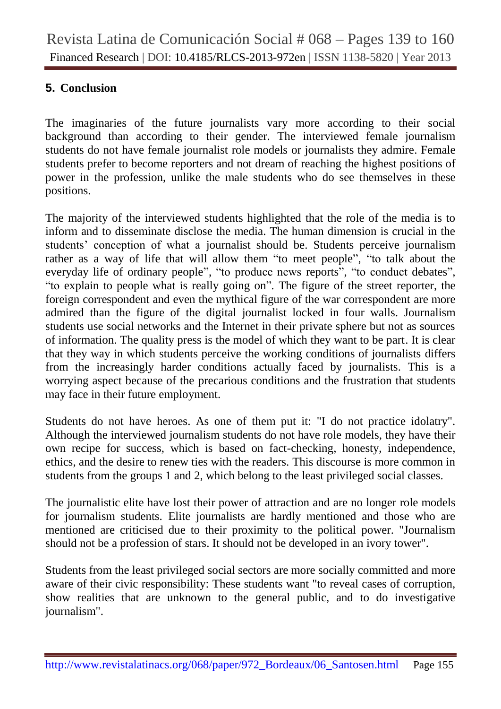# **5. Conclusion**

The imaginaries of the future journalists vary more according to their social background than according to their gender. The interviewed female journalism students do not have female journalist role models or journalists they admire. Female students prefer to become reporters and not dream of reaching the highest positions of power in the profession, unlike the male students who do see themselves in these positions.

The majority of the interviewed students highlighted that the role of the media is to inform and to disseminate disclose the media. The human dimension is crucial in the students' conception of what a journalist should be. Students perceive journalism rather as a way of life that will allow them "to meet people", "to talk about the everyday life of ordinary people", "to produce news reports", "to conduct debates", "to explain to people what is really going on"*.* The figure of the street reporter, the foreign correspondent and even the mythical figure of the war correspondent are more admired than the figure of the digital journalist locked in four walls. Journalism students use social networks and the Internet in their private sphere but not as sources of information. The quality press is the model of which they want to be part. It is clear that they way in which students perceive the working conditions of journalists differs from the increasingly harder conditions actually faced by journalists. This is a worrying aspect because of the precarious conditions and the frustration that students may face in their future employment.

Students do not have heroes. As one of them put it: "I do not practice idolatry". Although the interviewed journalism students do not have role models, they have their own recipe for success, which is based on fact-checking, honesty, independence, ethics, and the desire to renew ties with the readers. This discourse is more common in students from the groups 1 and 2, which belong to the least privileged social classes.

The journalistic elite have lost their power of attraction and are no longer role models for journalism students. Elite journalists are hardly mentioned and those who are mentioned are criticised due to their proximity to the political power. "Journalism should not be a profession of stars. It should not be developed in an ivory tower".

Students from the least privileged social sectors are more socially committed and more aware of their civic responsibility: These students want "to reveal cases of corruption, show realities that are unknown to the general public, and to do investigative journalism".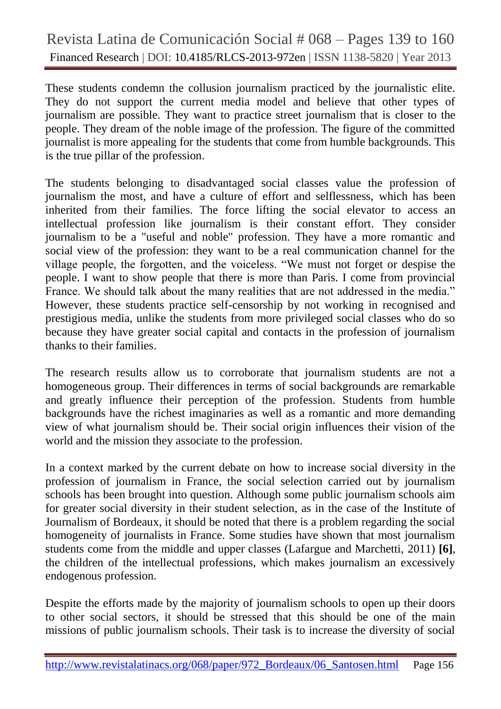These students condemn the collusion journalism practiced by the journalistic elite. They do not support the current media model and believe that other types of journalism are possible. They want to practice street journalism that is closer to the people. They dream of the noble image of the profession. The figure of the committed journalist is more appealing for the students that come from humble backgrounds. This is the true pillar of the profession.

The students belonging to disadvantaged social classes value the profession of journalism the most, and have a culture of effort and selflessness, which has been inherited from their families. The force lifting the social elevator to access an intellectual profession like journalism is their constant effort. They consider journalism to be a "useful and noble" profession. They have a more romantic and social view of the profession: they want to be a real communication channel for the village people, the forgotten, and the voiceless. "We must not forget or despise the people. I want to show people that there is more than Paris. I come from provincial France. We should talk about the many realities that are not addressed in the media." However, these students practice self-censorship by not working in recognised and prestigious media, unlike the students from more privileged social classes who do so because they have greater social capital and contacts in the profession of journalism thanks to their families.

The research results allow us to corroborate that journalism students are not a homogeneous group. Their differences in terms of social backgrounds are remarkable and greatly influence their perception of the profession. Students from humble backgrounds have the richest imaginaries as well as a romantic and more demanding view of what journalism should be. Their social origin influences their vision of the world and the mission they associate to the profession.

In a context marked by the current debate on how to increase social diversity in the profession of journalism in France, the social selection carried out by journalism schools has been brought into question. Although some public journalism schools aim for greater social diversity in their student selection, as in the case of the Institute of Journalism of Bordeaux, it should be noted that there is a problem regarding the social homogeneity of journalists in France. Some studies have shown that most journalism students come from the middle and upper classes (Lafargue and Marchetti, 2011) **[6]**, the children of the intellectual professions, which makes journalism an excessively endogenous profession.

Despite the efforts made by the majority of journalism schools to open up their doors to other social sectors, it should be stressed that this should be one of the main missions of public journalism schools. Their task is to increase the diversity of social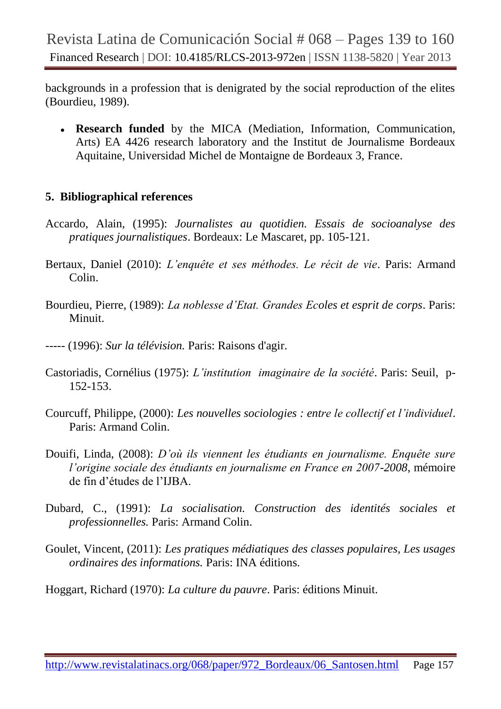backgrounds in a profession that is denigrated by the social reproduction of the elites (Bourdieu, 1989).

**Research funded** by the MICA (Mediation, Information, Communication, Arts) EA 4426 research laboratory and the Institut de Journalisme Bordeaux Aquitaine, Universidad Michel de Montaigne de Bordeaux 3, France.

#### **5. Bibliographical references**

- Accardo, Alain, (1995): *Journalistes au quotidien. Essais de socioanalyse des pratiques journalistiques*. Bordeaux: Le Mascaret, pp. 105-121.
- Bertaux, Daniel (2010): *L'enquête et ses méthodes. Le récit de vie*. Paris: Armand Colin.
- Bourdieu, Pierre, (1989): *La noblesse d'Etat. Grandes Ecoles et esprit de corps*. Paris: Minuit.
- ----- (1996): *Sur la télévision.* Paris: Raisons d'agir.
- Castoriadis, Cornélius (1975): *L'institution imaginaire de la société*. Paris: Seuil, p-152-153.
- Courcuff, Philippe, (2000): *Les nouvelles sociologies : entre le collectif et l'individuel*. Paris: Armand Colin.
- Douifi, Linda, (2008): *D'où ils viennent les étudiants en journalisme. Enquête sure l'origine sociale des étudiants en journalisme en France en 2007-2008*, mémoire de fin d'études de l'IJBA.
- Dubard, C., (1991): *La socialisation. Construction des identités sociales et professionnelles.* Paris: Armand Colin.
- Goulet, Vincent, (2011): *Les pratiques médiatiques des classes populaires, Les usages ordinaires des informations.* Paris: INA éditions.

Hoggart, Richard (1970): *La culture du pauvre*. Paris: éditions Minuit.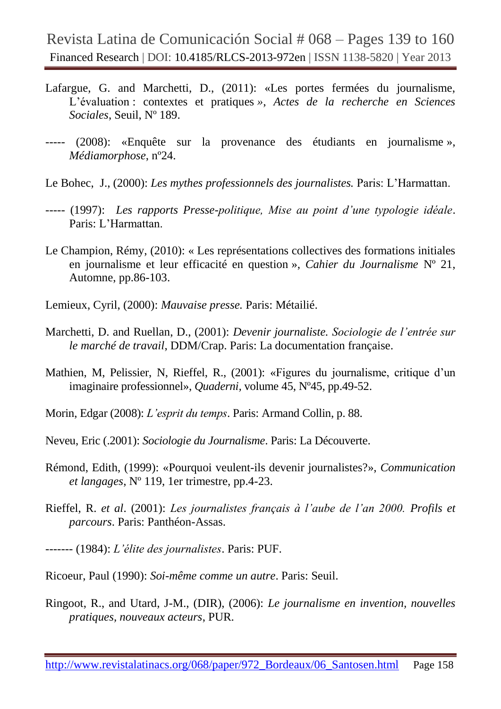- Lafargue, G. and Marchetti, D., (2011): «Les portes fermées du journalisme, L'évaluation : contextes et pratiques *»*, *Actes de la recherche en Sciences Sociales*, Seuil, Nº 189.
- ----- (2008): «Enquête sur la provenance des étudiants en journalisme », *Médiamorphose*, nº24.
- Le Bohec, J., (2000): *Les mythes professionnels des journalistes.* Paris: L'Harmattan.
- ----- (1997): *Les rapports Presse-politique, Mise au point d'une typologie idéale*. Paris: L'Harmattan.
- Le Champion, Rémy, (2010): « Les représentations collectives des formations initiales en journalisme et leur efficacité en question », *Cahier du Journalisme* Nº 21, Automne, pp.86-103.
- Lemieux, Cyril, (2000): *Mauvaise presse.* Paris: Métailié.
- Marchetti, D. and Ruellan, D., (2001): *Devenir journaliste. Sociologie de l'entrée sur le marché de travail*, DDM/Crap. Paris: La documentation française.
- Mathien, M, Pelissier, N, Rieffel, R., (2001): «Figures du journalisme, critique d'un imaginaire professionnel», *Quaderni,* volume 45, Nº45, pp.49-52.
- Morin, Edgar (2008): *L'esprit du temps*. Paris: Armand Collin, p. 88.
- Neveu, Eric (.2001): *Sociologie du Journalisme*. Paris: La Découverte.
- Rémond, Edith, (1999): «Pourquoi veulent-ils devenir journalistes?», *Communication et langages*, Nº 119, 1er trimestre, pp.4-23.
- Rieffel, R. *et al*. (2001): *Les journalistes français à l'aube de l'an 2000. Profils et parcours*. Paris: Panthéon-Assas.
- ------- (1984): *L'élite des journalistes*. Paris: PUF.
- Ricoeur, Paul (1990): *Soi-même comme un autre*. Paris: Seuil.
- Ringoot, R., and Utard, J-M., (DIR), (2006): *Le journalisme en invention, nouvelles pratiques, nouveaux acteurs*, PUR.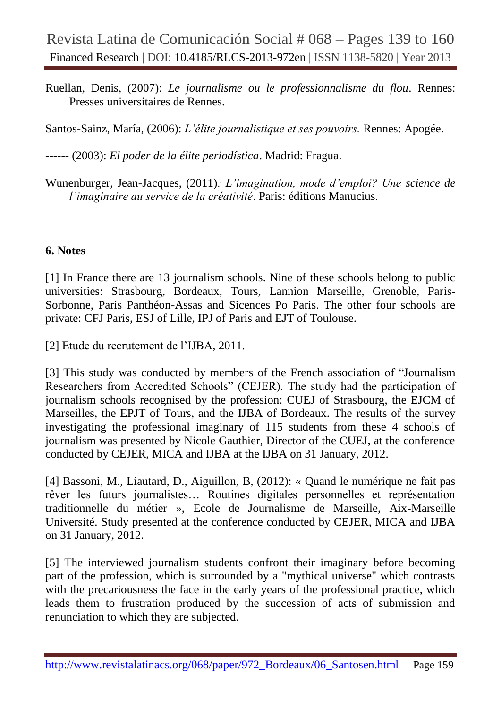Ruellan, Denis, (2007): *Le journalisme ou le professionnalisme du flou*. Rennes: Presses universitaires de Rennes.

Santos-Sainz, María, (2006): *L'élite journalistique et ses pouvoirs.* Rennes: Apogée.

------ (2003): *El poder de la élite periodística*. Madrid: Fragua.

Wunenburger, Jean-Jacques, (2011)*: L'imagination, mode d'emploi? Une science de l'imaginaire au service de la créativité*. Paris: éditions Manucius.

#### **6. Notes**

[1] In France there are 13 journalism schools. Nine of these schools belong to public universities: Strasbourg, Bordeaux, Tours, Lannion Marseille, Grenoble, Paris-Sorbonne, Paris Panthéon-Assas and Sicences Po Paris. The other four schools are private: CFJ Paris, ESJ of Lille, IPJ of Paris and EJT of Toulouse.

[2] Etude du recrutement de l'IJBA, 2011.

[3] This study was conducted by members of the French association of "Journalism Researchers from Accredited Schools" (CEJER). The study had the participation of journalism schools recognised by the profession: CUEJ of Strasbourg, the EJCM of Marseilles, the EPJT of Tours, and the IJBA of Bordeaux. The results of the survey investigating the professional imaginary of 115 students from these 4 schools of journalism was presented by Nicole Gauthier, Director of the CUEJ, at the conference conducted by CEJER, MICA and IJBA at the IJBA on 31 January, 2012.

[4] Bassoni, M., Liautard, D., Aiguillon, B, (2012): « Quand le numérique ne fait pas rêver les futurs journalistes… Routines digitales personnelles et représentation traditionnelle du métier », Ecole de Journalisme de Marseille, Aix-Marseille Université. Study presented at the conference conducted by CEJER, MICA and IJBA on 31 January, 2012.

[5] The interviewed journalism students confront their imaginary before becoming part of the profession, which is surrounded by a "mythical universe" which contrasts with the precariousness the face in the early years of the professional practice, which leads them to frustration produced by the succession of acts of submission and renunciation to which they are subjected.

http://www.revistalatinacs.org/068/paper/972\_Bordeaux/06\_Santosen.html Page 159